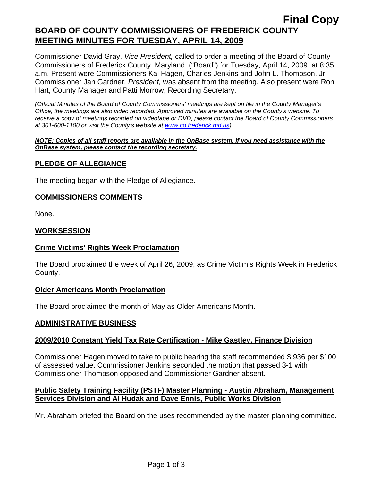## **Final Copy BOARD OF COUNTY COMMISSIONERS OF FREDERICK COUNTY MEETING MINUTES FOR TUESDAY, APRIL 14, 2009**

Commissioner David Gray, *Vice President,* called to order a meeting of the Board of County Commissioners of Frederick County, Maryland, ("Board") for Tuesday, April 14, 2009, at 8:35 a.m. Present were Commissioners Kai Hagen, Charles Jenkins and John L. Thompson, Jr. Commissioner Jan Gardner, *President,* was absent from the meeting. Also present were Ron Hart, County Manager and Patti Morrow, Recording Secretary.

*(Official Minutes of the Board of County Commissioners' meetings are kept on file in the County Manager's Office; the meetings are also video recorded. Approved minutes are available on the County's website. To receive a copy of meetings recorded on videotape or DVD, please contact the Board of County Commissioners at 301-600-1100 or visit the County's website at [www.co.frederick.md.us\)](http://www.co.frederick.md.us/)* 

#### *NOTE: Copies of all staff reports are available in the OnBase system. If you need assistance with the OnBase system, please contact the recording secretary.*

### **PLEDGE OF ALLEGIANCE**

The meeting began with the Pledge of Allegiance.

#### **COMMISSIONERS COMMENTS**

None.

#### **WORKSESSION**

### **Crime Victims' Rights Week Proclamation**

The Board proclaimed the week of April 26, 2009, as Crime Victim's Rights Week in Frederick County.

#### **Older Americans Month Proclamation**

The Board proclaimed the month of May as Older Americans Month.

#### **ADMINISTRATIVE BUSINESS**

### **2009/2010 Constant Yield Tax Rate Certification - Mike Gastley, Finance Division**

Commissioner Hagen moved to take to public hearing the staff recommended \$.936 per \$100 of assessed value. Commissioner Jenkins seconded the motion that passed 3-1 with Commissioner Thompson opposed and Commissioner Gardner absent.

#### **Public Safety Training Facility (PSTF) Master Planning - Austin Abraham, Management Services Division and Al Hudak and Dave Ennis, Public Works Division**

Mr. Abraham briefed the Board on the uses recommended by the master planning committee.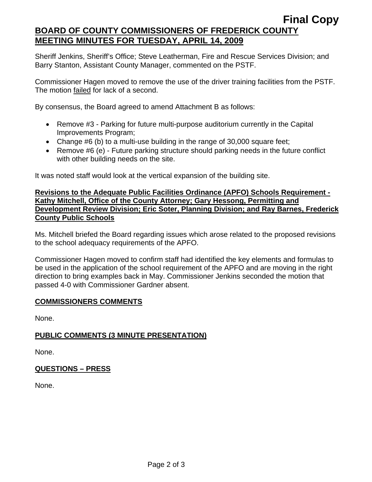## **BOARD OF COUNTY COMMISSIONERS OF FREDERICK COUNTY MEETING MINUTES FOR TUESDAY, APRIL 14, 2009**

Sheriff Jenkins, Sheriff's Office; Steve Leatherman, Fire and Rescue Services Division; and Barry Stanton, Assistant County Manager, commented on the PSTF.

Commissioner Hagen moved to remove the use of the driver training facilities from the PSTF. The motion failed for lack of a second.

By consensus, the Board agreed to amend Attachment B as follows:

- Remove #3 Parking for future multi-purpose auditorium currently in the Capital Improvements Program;
- Change #6 (b) to a multi-use building in the range of 30,000 square feet;
- Remove #6 (e) Future parking structure should parking needs in the future conflict with other building needs on the site.

It was noted staff would look at the vertical expansion of the building site.

#### **Revisions to the Adequate Public Facilities Ordinance (APFO) Schools Requirement - Kathy Mitchell, Office of the County Attorney; Gary Hessong, Permitting and Development Review Division; Eric Soter, Planning Division; and Ray Barnes, Frederick County Public Schools**

Ms. Mitchell briefed the Board regarding issues which arose related to the proposed revisions to the school adequacy requirements of the APFO.

Commissioner Hagen moved to confirm staff had identified the key elements and formulas to be used in the application of the school requirement of the APFO and are moving in the right direction to bring examples back in May. Commissioner Jenkins seconded the motion that passed 4-0 with Commissioner Gardner absent.

### **COMMISSIONERS COMMENTS**

None.

## **PUBLIC COMMENTS (3 MINUTE PRESENTATION)**

None.

### **QUESTIONS – PRESS**

None.